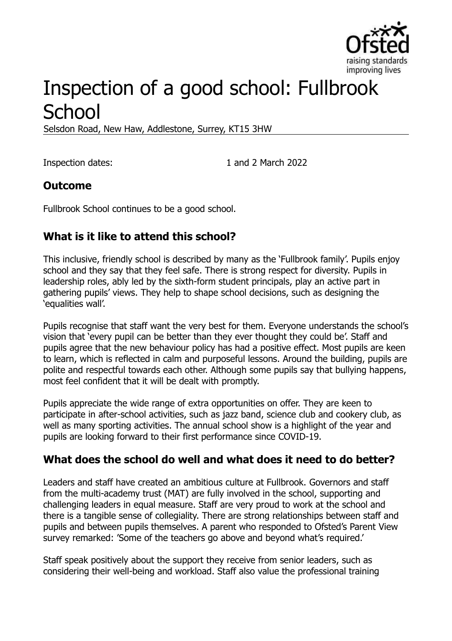

# Inspection of a good school: Fullbrook **School**

Selsdon Road, New Haw, Addlestone, Surrey, KT15 3HW

Inspection dates: 1 and 2 March 2022

#### **Outcome**

Fullbrook School continues to be a good school.

# **What is it like to attend this school?**

This inclusive, friendly school is described by many as the 'Fullbrook family'. Pupils enjoy school and they say that they feel safe. There is strong respect for diversity. Pupils in leadership roles, ably led by the sixth-form student principals, play an active part in gathering pupils' views. They help to shape school decisions, such as designing the 'equalities wall'.

Pupils recognise that staff want the very best for them. Everyone understands the school's vision that 'every pupil can be better than they ever thought they could be'. Staff and pupils agree that the new behaviour policy has had a positive effect. Most pupils are keen to learn, which is reflected in calm and purposeful lessons. Around the building, pupils are polite and respectful towards each other. Although some pupils say that bullying happens, most feel confident that it will be dealt with promptly.

Pupils appreciate the wide range of extra opportunities on offer. They are keen to participate in after-school activities, such as jazz band, science club and cookery club, as well as many sporting activities. The annual school show is a highlight of the year and pupils are looking forward to their first performance since COVID-19.

#### **What does the school do well and what does it need to do better?**

Leaders and staff have created an ambitious culture at Fullbrook. Governors and staff from the multi-academy trust (MAT) are fully involved in the school, supporting and challenging leaders in equal measure. Staff are very proud to work at the school and there is a tangible sense of collegiality. There are strong relationships between staff and pupils and between pupils themselves. A parent who responded to Ofsted's Parent View survey remarked: 'Some of the teachers go above and beyond what's required.'

Staff speak positively about the support they receive from senior leaders, such as considering their well-being and workload. Staff also value the professional training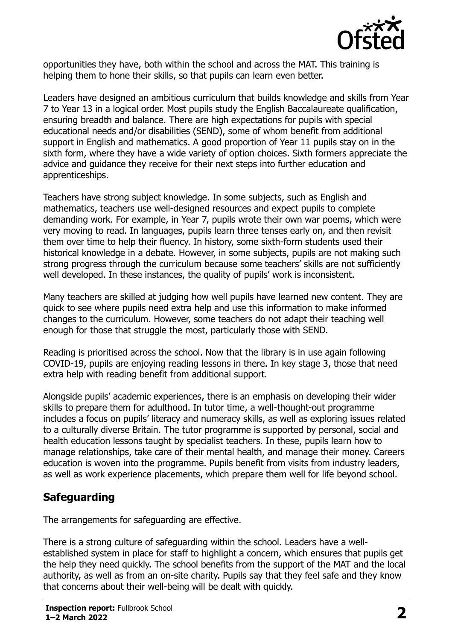

opportunities they have, both within the school and across the MAT. This training is helping them to hone their skills, so that pupils can learn even better.

Leaders have designed an ambitious curriculum that builds knowledge and skills from Year 7 to Year 13 in a logical order. Most pupils study the English Baccalaureate qualification, ensuring breadth and balance. There are high expectations for pupils with special educational needs and/or disabilities (SEND), some of whom benefit from additional support in English and mathematics. A good proportion of Year 11 pupils stay on in the sixth form, where they have a wide variety of option choices. Sixth formers appreciate the advice and guidance they receive for their next steps into further education and apprenticeships.

Teachers have strong subject knowledge. In some subjects, such as English and mathematics, teachers use well-designed resources and expect pupils to complete demanding work. For example, in Year 7, pupils wrote their own war poems, which were very moving to read. In languages, pupils learn three tenses early on, and then revisit them over time to help their fluency. In history, some sixth-form students used their historical knowledge in a debate. However, in some subjects, pupils are not making such strong progress through the curriculum because some teachers' skills are not sufficiently well developed. In these instances, the quality of pupils' work is inconsistent.

Many teachers are skilled at judging how well pupils have learned new content. They are quick to see where pupils need extra help and use this information to make informed changes to the curriculum. However, some teachers do not adapt their teaching well enough for those that struggle the most, particularly those with SEND.

Reading is prioritised across the school. Now that the library is in use again following COVID-19, pupils are enjoying reading lessons in there. In key stage 3, those that need extra help with reading benefit from additional support.

Alongside pupils' academic experiences, there is an emphasis on developing their wider skills to prepare them for adulthood. In tutor time, a well-thought-out programme includes a focus on pupils' literacy and numeracy skills, as well as exploring issues related to a culturally diverse Britain. The tutor programme is supported by personal, social and health education lessons taught by specialist teachers. In these, pupils learn how to manage relationships, take care of their mental health, and manage their money. Careers education is woven into the programme. Pupils benefit from visits from industry leaders, as well as work experience placements, which prepare them well for life beyond school.

# **Safeguarding**

The arrangements for safeguarding are effective.

There is a strong culture of safeguarding within the school. Leaders have a wellestablished system in place for staff to highlight a concern, which ensures that pupils get the help they need quickly. The school benefits from the support of the MAT and the local authority, as well as from an on-site charity. Pupils say that they feel safe and they know that concerns about their well-being will be dealt with quickly.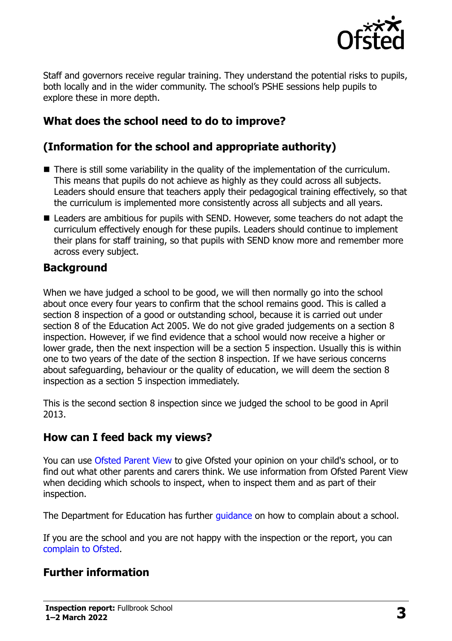

Staff and governors receive regular training. They understand the potential risks to pupils, both locally and in the wider community. The school's PSHE sessions help pupils to explore these in more depth.

# **What does the school need to do to improve?**

# **(Information for the school and appropriate authority)**

- There is still some variability in the quality of the implementation of the curriculum. This means that pupils do not achieve as highly as they could across all subjects. Leaders should ensure that teachers apply their pedagogical training effectively, so that the curriculum is implemented more consistently across all subjects and all years.
- Leaders are ambitious for pupils with SEND. However, some teachers do not adapt the curriculum effectively enough for these pupils. Leaders should continue to implement their plans for staff training, so that pupils with SEND know more and remember more across every subject.

### **Background**

When we have judged a school to be good, we will then normally go into the school about once every four years to confirm that the school remains good. This is called a section 8 inspection of a good or outstanding school, because it is carried out under section 8 of the Education Act 2005. We do not give graded judgements on a section 8 inspection. However, if we find evidence that a school would now receive a higher or lower grade, then the next inspection will be a section 5 inspection. Usually this is within one to two years of the date of the section 8 inspection. If we have serious concerns about safeguarding, behaviour or the quality of education, we will deem the section 8 inspection as a section 5 inspection immediately.

This is the second section 8 inspection since we judged the school to be good in April 2013.

#### **How can I feed back my views?**

You can use [Ofsted Parent View](https://parentview.ofsted.gov.uk/) to give Ofsted your opinion on your child's school, or to find out what other parents and carers think. We use information from Ofsted Parent View when deciding which schools to inspect, when to inspect them and as part of their inspection.

The Department for Education has further quidance on how to complain about a school.

If you are the school and you are not happy with the inspection or the report, you can [complain to Ofsted.](https://www.gov.uk/complain-ofsted-report)

# **Further information**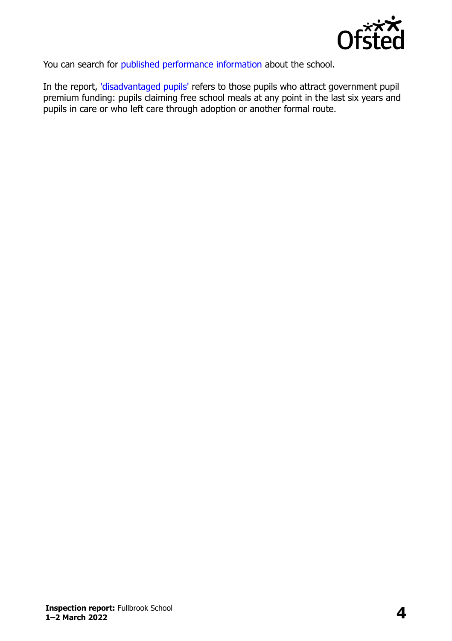

You can search for [published performance information](http://www.compare-school-performance.service.gov.uk/) about the school.

In the report, ['disadvantaged pupils'](http://www.gov.uk/guidance/pupil-premium-information-for-schools-and-alternative-provision-settings) refers to those pupils who attract government pupil premium funding: pupils claiming free school meals at any point in the last six years and pupils in care or who left care through adoption or another formal route.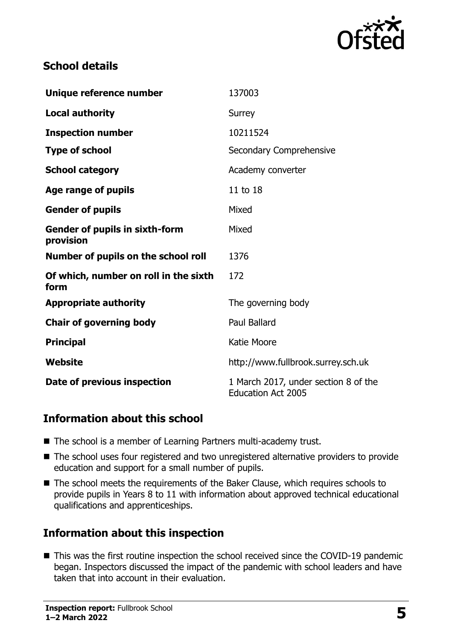

### **School details**

| Unique reference number                            | 137003                                                            |
|----------------------------------------------------|-------------------------------------------------------------------|
| <b>Local authority</b>                             | Surrey                                                            |
| <b>Inspection number</b>                           | 10211524                                                          |
| <b>Type of school</b>                              | Secondary Comprehensive                                           |
| <b>School category</b>                             | Academy converter                                                 |
| Age range of pupils                                | 11 to 18                                                          |
| <b>Gender of pupils</b>                            | Mixed                                                             |
| <b>Gender of pupils in sixth-form</b><br>provision | Mixed                                                             |
| Number of pupils on the school roll                | 1376                                                              |
| Of which, number on roll in the sixth<br>form      | 172                                                               |
| <b>Appropriate authority</b>                       | The governing body                                                |
| <b>Chair of governing body</b>                     | <b>Paul Ballard</b>                                               |
| <b>Principal</b>                                   | Katie Moore                                                       |
| Website                                            | http://www.fullbrook.surrey.sch.uk                                |
| Date of previous inspection                        | 1 March 2017, under section 8 of the<br><b>Education Act 2005</b> |

# **Information about this school**

- The school is a member of Learning Partners multi-academy trust.
- The school uses four registered and two unregistered alternative providers to provide education and support for a small number of pupils.
- The school meets the requirements of the Baker Clause, which requires schools to provide pupils in Years 8 to 11 with information about approved technical educational qualifications and apprenticeships.

# **Information about this inspection**

■ This was the first routine inspection the school received since the COVID-19 pandemic began. Inspectors discussed the impact of the pandemic with school leaders and have taken that into account in their evaluation.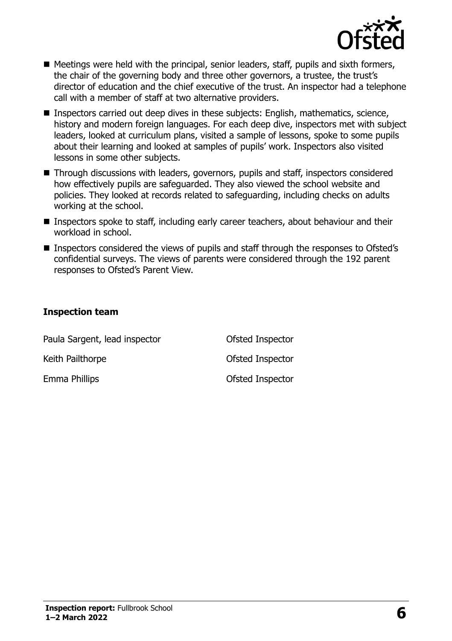

- Meetings were held with the principal, senior leaders, staff, pupils and sixth formers, the chair of the governing body and three other governors, a trustee, the trust's director of education and the chief executive of the trust. An inspector had a telephone call with a member of staff at two alternative providers.
- Inspectors carried out deep dives in these subjects: English, mathematics, science, history and modern foreign languages. For each deep dive, inspectors met with subject leaders, looked at curriculum plans, visited a sample of lessons, spoke to some pupils about their learning and looked at samples of pupils' work. Inspectors also visited lessons in some other subjects.
- Through discussions with leaders, governors, pupils and staff, inspectors considered how effectively pupils are safeguarded. They also viewed the school website and policies. They looked at records related to safeguarding, including checks on adults working at the school.
- Inspectors spoke to staff, including early career teachers, about behaviour and their workload in school.
- Inspectors considered the views of pupils and staff through the responses to Ofsted's confidential surveys. The views of parents were considered through the 192 parent responses to Ofsted's Parent View.

#### **Inspection team**

| Paula Sargent, lead inspector | Ofsted Inspector |  |
|-------------------------------|------------------|--|
| Keith Pailthorpe              | Ofsted Inspector |  |
| Emma Phillips                 | Ofsted Inspector |  |